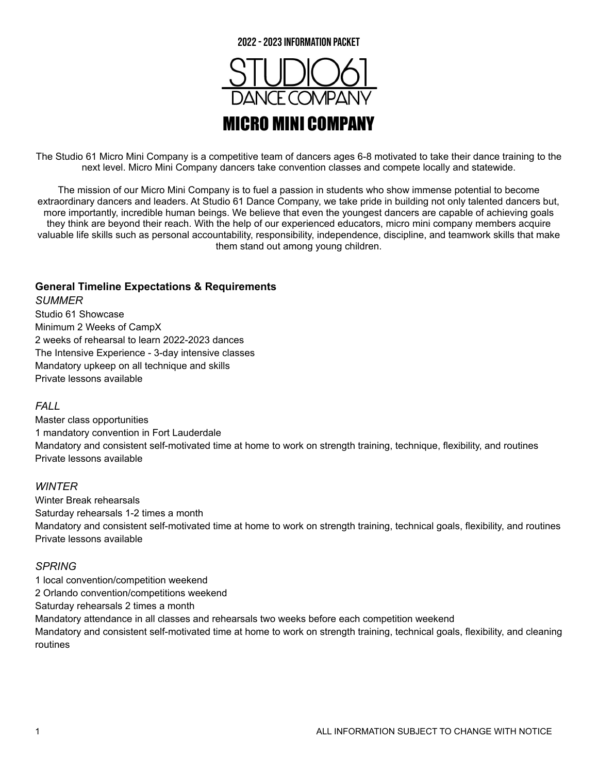

The Studio 61 Micro Mini Company is a competitive team of dancers ages 6-8 motivated to take their dance training to the next level. Micro Mini Company dancers take convention classes and compete locally and statewide.

The mission of our Micro Mini Company is to fuel a passion in students who show immense potential to become extraordinary dancers and leaders. At Studio 61 Dance Company, we take pride in building not only talented dancers but, more importantly, incredible human beings. We believe that even the youngest dancers are capable of achieving goals they think are beyond their reach. With the help of our experienced educators, micro mini company members acquire valuable life skills such as personal accountability, responsibility, independence, discipline, and teamwork skills that make them stand out among young children.

#### **General Timeline Expectations & Requirements**

*SUMMER*

Studio 61 Showcase Minimum 2 Weeks of CampX 2 weeks of rehearsal to learn 2022-2023 dances The Intensive Experience - 3-day intensive classes Mandatory upkeep on all technique and skills Private lessons available

#### *FALL*

Master class opportunities 1 mandatory convention in Fort Lauderdale Mandatory and consistent self-motivated time at home to work on strength training, technique, flexibility, and routines Private lessons available

#### *WINTER*

Winter Break rehearsals Saturday rehearsals 1-2 times a month Mandatory and consistent self-motivated time at home to work on strength training, technical goals, flexibility, and routines Private lessons available

#### *SPRING*

1 local convention/competition weekend 2 Orlando convention/competitions weekend Saturday rehearsals 2 times a month Mandatory attendance in all classes and rehearsals two weeks before each competition weekend Mandatory and consistent self-motivated time at home to work on strength training, technical goals, flexibility, and cleaning routines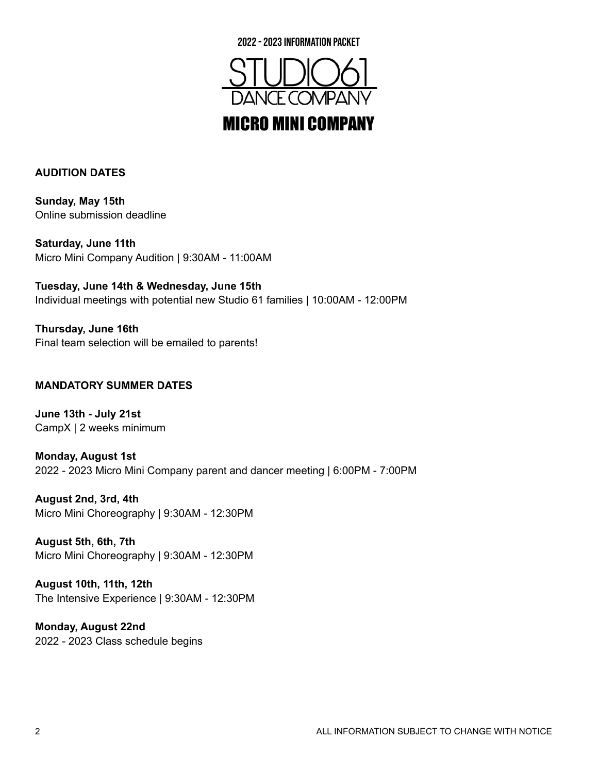



#### **AUDITION DATES**

**Sunday, May 15th** Online submission deadline

**Saturday, June 11th** Micro Mini Company Audition | 9:30AM - 11:00AM

**Tuesday, June 14th & Wednesday, June 15th** Individual meetings with potential new Studio 61 families | 10:00AM - 12:00PM

**Thursday, June 16th** Final team selection will be emailed to parents!

#### **MANDATORY SUMMER DATES**

**June 13th - July 21st** CampX | 2 weeks minimum

**Monday, August 1st** 2022 - 2023 Micro Mini Company parent and dancer meeting | 6:00PM - 7:00PM

**August 2nd, 3rd, 4th** Micro Mini Choreography | 9:30AM - 12:30PM

**August 5th, 6th, 7th** Micro Mini Choreography | 9:30AM - 12:30PM

**August 10th, 11th, 12th** The Intensive Experience | 9:30AM - 12:30PM

**Monday, August 22nd** 2022 - 2023 Class schedule begins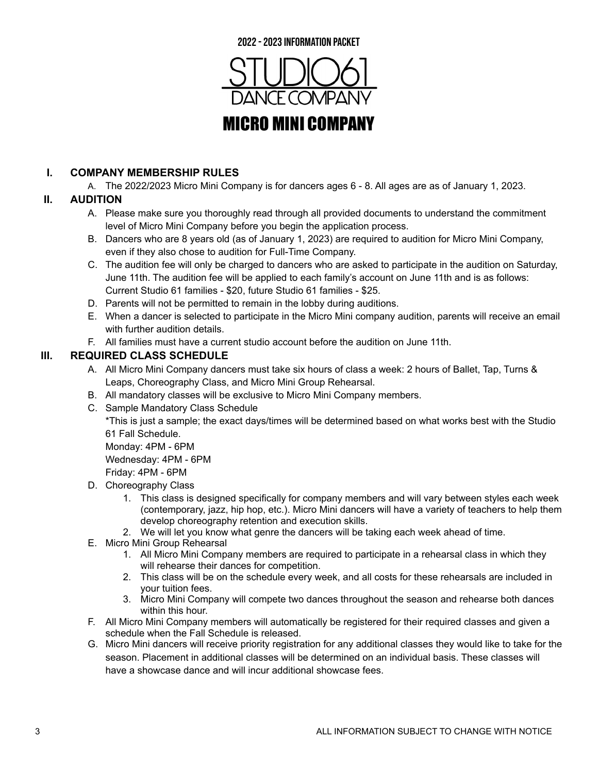

#### **I. COMPANY MEMBERSHIP RULES**

A. The 2022/2023 Micro Mini Company is for dancers ages 6 - 8. All ages are as of January 1, 2023.

### **II. AUDITION**

- A. Please make sure you thoroughly read through all provided documents to understand the commitment level of Micro Mini Company before you begin the application process.
- B. Dancers who are 8 years old (as of January 1, 2023) are required to audition for Micro Mini Company, even if they also chose to audition for Full-Time Company.
- C. The audition fee will only be charged to dancers who are asked to participate in the audition on Saturday, June 11th. The audition fee will be applied to each family's account on June 11th and is as follows: Current Studio 61 families - \$20, future Studio 61 families - \$25.
- D. Parents will not be permitted to remain in the lobby during auditions.
- E. When a dancer is selected to participate in the Micro Mini company audition, parents will receive an email with further audition details.
- F. All families must have a current studio account before the audition on June 11th.

### **III. REQUIRED CLASS SCHEDULE**

- A. All Micro Mini Company dancers must take six hours of class a week: 2 hours of Ballet, Tap, Turns & Leaps, Choreography Class, and Micro Mini Group Rehearsal.
- B. All mandatory classes will be exclusive to Micro Mini Company members.
- C. Sample Mandatory Class Schedule

\*This is just a sample; the exact days/times will be determined based on what works best with the Studio 61 Fall Schedule.

Monday: 4PM - 6PM

Wednesday: 4PM - 6PM

Friday: 4PM - 6PM

- D. Choreography Class
	- 1. This class is designed specifically for company members and will vary between styles each week (contemporary, jazz, hip hop, etc.). Micro Mini dancers will have a variety of teachers to help them develop choreography retention and execution skills.
	- 2. We will let you know what genre the dancers will be taking each week ahead of time.
- E. Micro Mini Group Rehearsal
	- 1. All Micro Mini Company members are required to participate in a rehearsal class in which they will rehearse their dances for competition.
	- 2. This class will be on the schedule every week, and all costs for these rehearsals are included in your tuition fees.
	- 3. Micro Mini Company will compete two dances throughout the season and rehearse both dances within this hour.
- F. All Micro Mini Company members will automatically be registered for their required classes and given a schedule when the Fall Schedule is released.
- G. Micro Mini dancers will receive priority registration for any additional classes they would like to take for the season. Placement in additional classes will be determined on an individual basis. These classes will have a showcase dance and will incur additional showcase fees.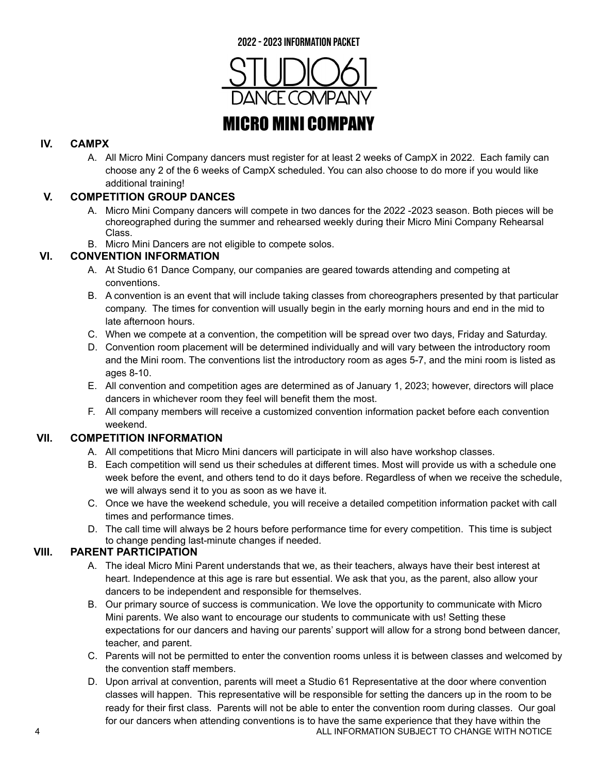

#### **IV. CAMPX**

A. All Micro Mini Company dancers must register for at least 2 weeks of CampX in 2022. Each family can choose any 2 of the 6 weeks of CampX scheduled. You can also choose to do more if you would like additional training!

### **V. COMPETITION GROUP DANCES**

- A. Micro Mini Company dancers will compete in two dances for the 2022 -2023 season. Both pieces will be choreographed during the summer and rehearsed weekly during their Micro Mini Company Rehearsal Class.
- B. Micro Mini Dancers are not eligible to compete solos.

#### **VI. CONVENTION INFORMATION**

- A. At Studio 61 Dance Company, our companies are geared towards attending and competing at conventions.
- B. A convention is an event that will include taking classes from choreographers presented by that particular company. The times for convention will usually begin in the early morning hours and end in the mid to late afternoon hours.
- C. When we compete at a convention, the competition will be spread over two days, Friday and Saturday.
- D. Convention room placement will be determined individually and will vary between the introductory room and the Mini room. The conventions list the introductory room as ages 5-7, and the mini room is listed as ages 8-10.
- E. All convention and competition ages are determined as of January 1, 2023; however, directors will place dancers in whichever room they feel will benefit them the most.
- F. All company members will receive a customized convention information packet before each convention weekend.

#### **VII. COMPETITION INFORMATION**

- A. All competitions that Micro Mini dancers will participate in will also have workshop classes.
- B. Each competition will send us their schedules at different times. Most will provide us with a schedule one week before the event, and others tend to do it days before. Regardless of when we receive the schedule, we will always send it to you as soon as we have it.
- C. Once we have the weekend schedule, you will receive a detailed competition information packet with call times and performance times.
- D. The call time will always be 2 hours before performance time for every competition. This time is subject to change pending last-minute changes if needed.

#### **VIII. PARENT PARTICIPATION**

- A. The ideal Micro Mini Parent understands that we, as their teachers, always have their best interest at heart. Independence at this age is rare but essential. We ask that you, as the parent, also allow your dancers to be independent and responsible for themselves.
- B. Our primary source of success is communication. We love the opportunity to communicate with Micro Mini parents. We also want to encourage our students to communicate with us! Setting these expectations for our dancers and having our parents' support will allow for a strong bond between dancer, teacher, and parent.
- C. Parents will not be permitted to enter the convention rooms unless it is between classes and welcomed by the convention staff members.
- D. Upon arrival at convention, parents will meet a Studio 61 Representative at the door where convention classes will happen. This representative will be responsible for setting the dancers up in the room to be ready for their first class. Parents will not be able to enter the convention room during classes. Our goal for our dancers when attending conventions is to have the same experience that they have within the 4 ALL INFORMATION SUBJECT TO CHANGE WITH NOTICE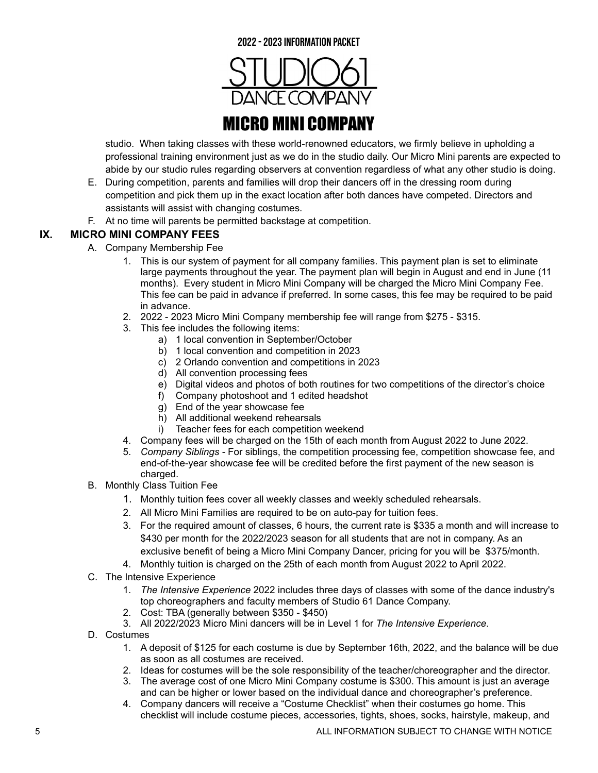

studio. When taking classes with these world-renowned educators, we firmly believe in upholding a professional training environment just as we do in the studio daily. Our Micro Mini parents are expected to abide by our studio rules regarding observers at convention regardless of what any other studio is doing.

- E. During competition, parents and families will drop their dancers off in the dressing room during competition and pick them up in the exact location after both dances have competed. Directors and assistants will assist with changing costumes.
- F. At no time will parents be permitted backstage at competition.

### **IX. MICRO MINI COMPANY FEES**

- A. Company Membership Fee
	- 1. This is our system of payment for all company families. This payment plan is set to eliminate large payments throughout the year. The payment plan will begin in August and end in June (11 months). Every student in Micro Mini Company will be charged the Micro Mini Company Fee. This fee can be paid in advance if preferred. In some cases, this fee may be required to be paid in advance.
	- 2. 2022 2023 Micro Mini Company membership fee will range from \$275 \$315.
	- 3. This fee includes the following items:
		- a) 1 local convention in September/October
		- b) 1 local convention and competition in 2023
		- c) 2 Orlando convention and competitions in 2023
		- d) All convention processing fees
		- e) Digital videos and photos of both routines for two competitions of the director's choice
		- f) Company photoshoot and 1 edited headshot
		- g) End of the year showcase fee
		- h) All additional weekend rehearsals<br>i) Teacher fees for each competition
		- Teacher fees for each competition weekend
	- 4. Company fees will be charged on the 15th of each month from August 2022 to June 2022.
	- 5. *Company Siblings -* For siblings, the competition processing fee, competition showcase fee, and end-of-the-year showcase fee will be credited before the first payment of the new season is charged.
- B. Monthly Class Tuition Fee
	- 1. Monthly tuition fees cover all weekly classes and weekly scheduled rehearsals.
	- 2. All Micro Mini Families are required to be on auto-pay for tuition fees.
	- 3. For the required amount of classes, 6 hours, the current rate is \$335 a month and will increase to \$430 per month for the 2022/2023 season for all students that are not in company. As an exclusive benefit of being a Micro Mini Company Dancer, pricing for you will be \$375/month.
	- 4. Monthly tuition is charged on the 25th of each month from August 2022 to April 2022.
- C. The Intensive Experience
	- 1. *The Intensive Experience* 2022 includes three days of classes with some of the dance industry's top choreographers and faculty members of Studio 61 Dance Company.
	- 2. Cost: TBA (generally between \$350 \$450)
	- 3. All 2022/2023 Micro Mini dancers will be in Level 1 for *The Intensive Experience*.
- D. Costumes
	- 1. A deposit of \$125 for each costume is due by September 16th, 2022, and the balance will be due as soon as all costumes are received.
	- 2. Ideas for costumes will be the sole responsibility of the teacher/choreographer and the director.
	- 3. The average cost of one Micro Mini Company costume is \$300. This amount is just an average and can be higher or lower based on the individual dance and choreographer's preference.
	- 4. Company dancers will receive a "Costume Checklist" when their costumes go home. This checklist will include costume pieces, accessories, tights, shoes, socks, hairstyle, makeup, and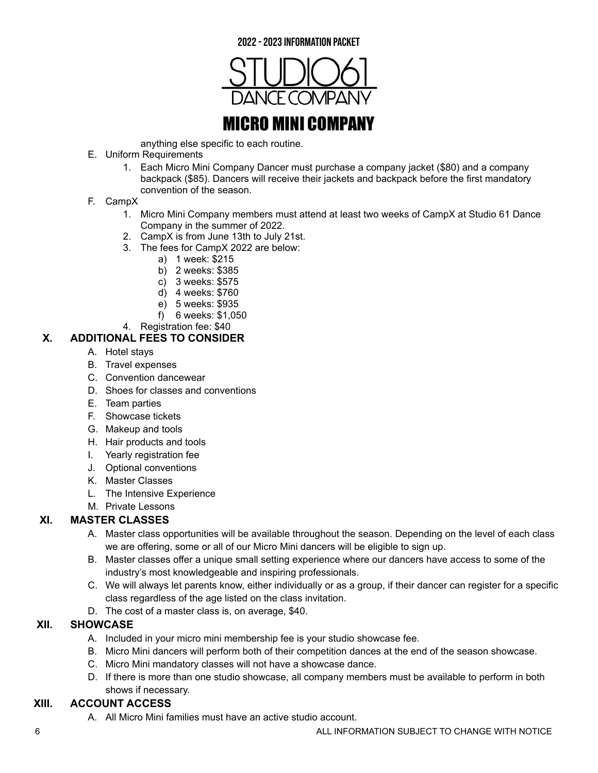



anything else specific to each routine.

- E. Uniform Requirements
	- 1. Each Micro Mini Company Dancer must purchase a company jacket (\$80) and a company backpack (\$85). Dancers will receive their jackets and backpack before the first mandatory convention of the season.
- F. CampX
	- 1. Micro Mini Company members must attend at least two weeks of CampX at Studio 61 Dance Company in the summer of 2022.
	- 2. CampX is from June 13th to July 21st.
	- 3. The fees for CampX 2022 are below:
		- a) 1 week: \$215
		- b) 2 weeks: \$385
		- c) 3 weeks: \$575
		- d) 4 weeks: \$760
		- e) 5 weeks: \$935
		- f) 6 weeks: \$1,050
	- 4. Registration fee: \$40

#### **X. ADDITIONAL FEES TO CONSIDER**

- A. Hotel stays
- B. Travel expenses
- C. Convention dancewear
- D. Shoes for classes and conventions
- E. Team parties
- F. Showcase tickets
- G. Makeup and tools
- H. Hair products and tools
- I. Yearly registration fee
- J. Optional conventions
- K. Master Classes
- L. The Intensive Experience
- M. Private Lessons

#### **XI. MASTER CLASSES**

- A. Master class opportunities will be available throughout the season. Depending on the level of each class we are offering, some or all of our Micro Mini dancers will be eligible to sign up.
- B. Master classes offer a unique small setting experience where our dancers have access to some of the industry's most knowledgeable and inspiring professionals.
- C. We will always let parents know, either individually or as a group, if their dancer can register for a specific class regardless of the age listed on the class invitation.
- D. The cost of a master class is, on average, \$40.

#### **XII. SHOWCASE**

- A. Included in your micro mini membership fee is your studio showcase fee.
- B. Micro Mini dancers will perform both of their competition dances at the end of the season showcase.
- C. Micro Mini mandatory classes will not have a showcase dance.
- D. If there is more than one studio showcase, all company members must be available to perform in both shows if necessary.

#### **XIII. ACCOUNT ACCESS**

A. All Micro Mini families must have an active studio account.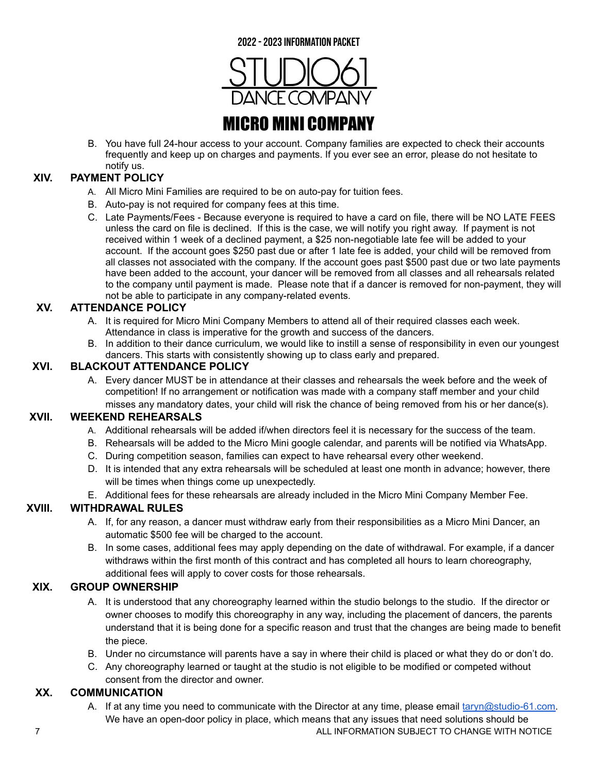

B. You have full 24-hour access to your account. Company families are expected to check their accounts frequently and keep up on charges and payments. If you ever see an error, please do not hesitate to notify us.

#### **XIV. PAYMENT POLICY**

- A. All Micro Mini Families are required to be on auto-pay for tuition fees.
- B. Auto-pay is not required for company fees at this time.
- C. Late Payments/Fees Because everyone is required to have a card on file, there will be NO LATE FEES unless the card on file is declined. If this is the case, we will notify you right away. If payment is not received within 1 week of a declined payment, a \$25 non-negotiable late fee will be added to your account. If the account goes \$250 past due or after 1 late fee is added, your child will be removed from all classes not associated with the company. If the account goes past \$500 past due or two late payments have been added to the account, your dancer will be removed from all classes and all rehearsals related to the company until payment is made. Please note that if a dancer is removed for non-payment, they will not be able to participate in any company-related events.

#### **XV. ATTENDANCE POLICY**

- A. It is required for Micro Mini Company Members to attend all of their required classes each week. Attendance in class is imperative for the growth and success of the dancers.
- B. In addition to their dance curriculum, we would like to instill a sense of responsibility in even our youngest dancers. This starts with consistently showing up to class early and prepared.

#### **XVI. BLACKOUT ATTENDANCE POLICY**

A. Every dancer MUST be in attendance at their classes and rehearsals the week before and the week of competition! If no arrangement or notification was made with a company staff member and your child misses any mandatory dates, your child will risk the chance of being removed from his or her dance(s).

#### **XVII. WEEKEND REHEARSALS**

- A. Additional rehearsals will be added if/when directors feel it is necessary for the success of the team.
- B. Rehearsals will be added to the Micro Mini google calendar, and parents will be notified via WhatsApp.
- C. During competition season, families can expect to have rehearsal every other weekend.
- D. It is intended that any extra rehearsals will be scheduled at least one month in advance; however, there will be times when things come up unexpectedly.
- E. Additional fees for these rehearsals are already included in the Micro Mini Company Member Fee.

#### **XVIII. WITHDRAWAL RULES**

- A. If, for any reason, a dancer must withdraw early from their responsibilities as a Micro Mini Dancer, an automatic \$500 fee will be charged to the account.
- B. In some cases, additional fees may apply depending on the date of withdrawal. For example, if a dancer withdraws within the first month of this contract and has completed all hours to learn choreography, additional fees will apply to cover costs for those rehearsals.

#### **XIX. GROUP OWNERSHIP**

- A. It is understood that any choreography learned within the studio belongs to the studio. If the director or owner chooses to modify this choreography in any way, including the placement of dancers, the parents understand that it is being done for a specific reason and trust that the changes are being made to benefit the piece.
- B. Under no circumstance will parents have a say in where their child is placed or what they do or don't do.
- C. Any choreography learned or taught at the studio is not eligible to be modified or competed without consent from the director and owner.

#### **XX. COMMUNICATION**

A. If at any time you need to communicate with the Director at any time, please email [taryn@studio-61.com.](mailto:taryn@studio-61.com) We have an open-door policy in place, which means that any issues that need solutions should be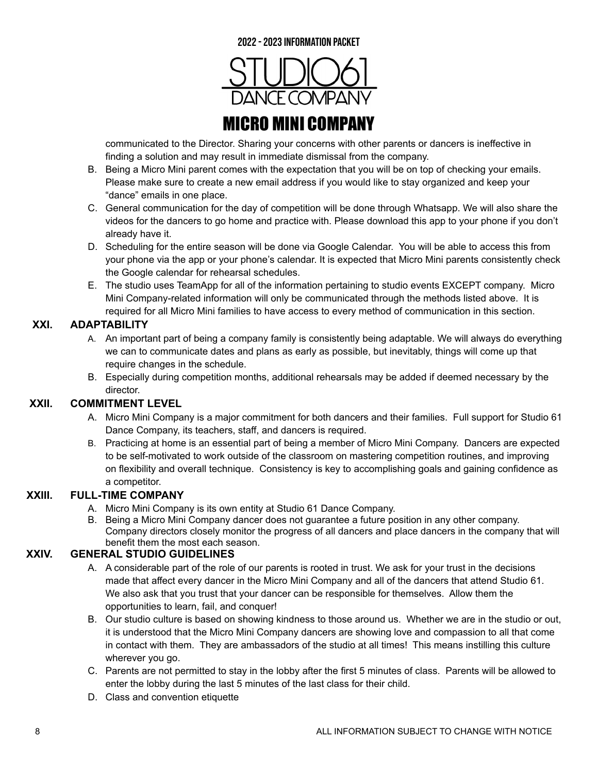

communicated to the Director. Sharing your concerns with other parents or dancers is ineffective in finding a solution and may result in immediate dismissal from the company.

- B. Being a Micro Mini parent comes with the expectation that you will be on top of checking your emails. Please make sure to create a new email address if you would like to stay organized and keep your "dance" emails in one place.
- C. General communication for the day of competition will be done through Whatsapp. We will also share the videos for the dancers to go home and practice with. Please download this app to your phone if you don't already have it.
- D. Scheduling for the entire season will be done via Google Calendar. You will be able to access this from your phone via the app or your phone's calendar. It is expected that Micro Mini parents consistently check the Google calendar for rehearsal schedules.
- E. The studio uses TeamApp for all of the information pertaining to studio events EXCEPT company. Micro Mini Company-related information will only be communicated through the methods listed above. It is required for all Micro Mini families to have access to every method of communication in this section.

#### **XXI. ADAPTABILITY**

- A. An important part of being a company family is consistently being adaptable. We will always do everything we can to communicate dates and plans as early as possible, but inevitably, things will come up that require changes in the schedule.
- B. Especially during competition months, additional rehearsals may be added if deemed necessary by the director.

#### **XXII. COMMITMENT LEVEL**

- A. Micro Mini Company is a major commitment for both dancers and their families. Full support for Studio 61 Dance Company, its teachers, staff, and dancers is required.
- B. Practicing at home is an essential part of being a member of Micro Mini Company. Dancers are expected to be self-motivated to work outside of the classroom on mastering competition routines, and improving on flexibility and overall technique. Consistency is key to accomplishing goals and gaining confidence as a competitor.

#### **XXIII. FULL-TIME COMPANY**

- A. Micro Mini Company is its own entity at Studio 61 Dance Company.
- B. Being a Micro Mini Company dancer does not guarantee a future position in any other company. Company directors closely monitor the progress of all dancers and place dancers in the company that will benefit them the most each season.

#### **XXIV. GENERAL STUDIO GUIDELINES**

- A. A considerable part of the role of our parents is rooted in trust. We ask for your trust in the decisions made that affect every dancer in the Micro Mini Company and all of the dancers that attend Studio 61. We also ask that you trust that your dancer can be responsible for themselves. Allow them the opportunities to learn, fail, and conquer!
- B. Our studio culture is based on showing kindness to those around us. Whether we are in the studio or out, it is understood that the Micro Mini Company dancers are showing love and compassion to all that come in contact with them. They are ambassadors of the studio at all times! This means instilling this culture wherever you go.
- C. Parents are not permitted to stay in the lobby after the first 5 minutes of class. Parents will be allowed to enter the lobby during the last 5 minutes of the last class for their child.
- D. Class and convention etiquette